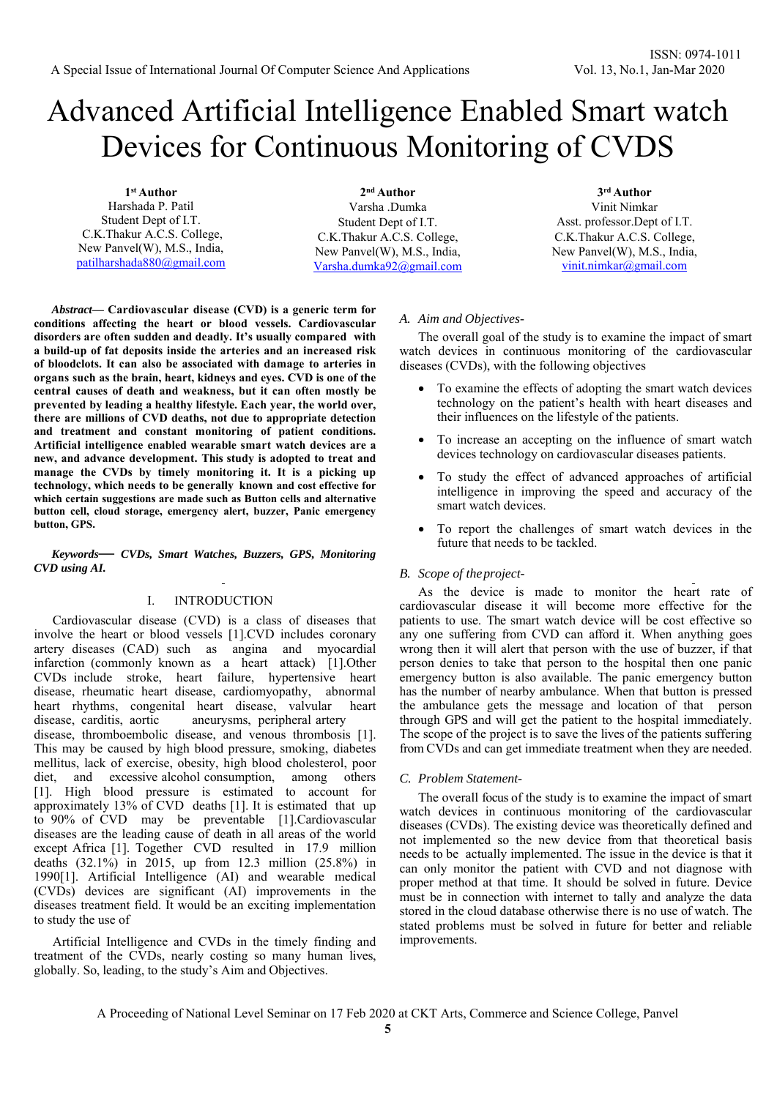# Advanced Artificial Intelligence Enabled Smart watch Devices for Continuous Monitoring of CVDS

**1st Author**  Harshada P. Patil Student Dept of I.T. C.K.Thakur A.C.S. College, New Panvel(W), M.S., India, patilharshada880@gmail.com

**2nd Author**  Varsha .Dumka Student Dept of I.T. C.K.Thakur A.C.S. College, New Panvel(W), M.S., India, Varsha.dumka92@gmail.com

**3rd Author**  Vinit Nimkar Asst. professor.Dept of I.T. C.K.Thakur A.C.S. College, New Panvel(W), M.S., India, vinit.nimkar@gmail.com

*Abstract***— Cardiovascular disease (CVD) is a generic term for conditions affecting the heart or blood vessels. Cardiovascular disorders are often sudden and deadly. It's usually compared with a build-up of fat deposits inside the arteries and an increased risk of bloodclots. It can also be associated with damage to arteries in organs such as the brain, heart, kidneys and eyes. CVD is one of the central causes of death and weakness, but it can often mostly be prevented by leading a healthy lifestyle. Each year, the world over, there are millions of CVD deaths, not due to appropriate detection and treatment and constant monitoring of patient conditions. Artificial intelligence enabled wearable smart watch devices are a new, and advance development. This study is adopted to treat and manage the CVDs by timely monitoring it. It is a picking up technology, which needs to be generally known and cost effective for which certain suggestions are made such as Button cells and alternative button cell, cloud storage, emergency alert, buzzer, Panic emergency button, GPS.**

*Keywords— CVDs, Smart Watches, Buzzers, GPS, Monitoring CVD using AI.* 

## I. INTRODUCTION

Cardiovascular disease (CVD) is a class of diseases that involve the heart or blood vessels [1].CVD includes coronary artery diseases (CAD) such as angina and myocardial infarction (commonly known as a heart attack) [1].Other CVDs include stroke, heart failure, hypertensive heart disease, rheumatic heart disease, cardiomyopathy, abnormal heart rhythms, congenital heart disease, valvular heart disease, carditis, aortic aneurysms, peripheral artery disease, thromboembolic disease, and venous thrombosis [1]. This may be caused by high blood pressure, smoking, diabetes mellitus, lack of exercise, obesity, high blood cholesterol, poor diet, and excessive alcohol consumption, among others [1]. High blood pressure is estimated to account for approximately 13% of CVD deaths [1]. It is estimated that up to 90% of CVD may be preventable [1].Cardiovascular diseases are the leading cause of death in all areas of the world except Africa [1]. Together CVD resulted in 17.9 million deaths (32.1%) in 2015, up from 12.3 million (25.8%) in 1990[1]. Artificial Intelligence (AI) and wearable medical (CVDs) devices are significant (AI) improvements in the diseases treatment field. It would be an exciting implementation to study the use of

Artificial Intelligence and CVDs in the timely finding and treatment of the CVDs, nearly costing so many human lives, globally. So, leading, to the study's Aim and Objectives.

### *A. Aim and Objectives-*

The overall goal of the study is to examine the impact of smart watch devices in continuous monitoring of the cardiovascular diseases (CVDs), with the following objectives

- To examine the effects of adopting the smart watch devices technology on the patient's health with heart diseases and their influences on the lifestyle of the patients.
- To increase an accepting on the influence of smart watch devices technology on cardiovascular diseases patients.
- To study the effect of advanced approaches of artificial intelligence in improving the speed and accuracy of the smart watch devices.
- To report the challenges of smart watch devices in the future that needs to be tackled.

#### *B. Scope of the project-*

As the device is made to monitor the heart rate of cardiovascular disease it will become more effective for the patients to use. The smart watch device will be cost effective so any one suffering from CVD can afford it. When anything goes wrong then it will alert that person with the use of buzzer, if that person denies to take that person to the hospital then one panic emergency button is also available. The panic emergency button has the number of nearby ambulance. When that button is pressed the ambulance gets the message and location of that person through GPS and will get the patient to the hospital immediately. The scope of the project is to save the lives of the patients suffering from CVDs and can get immediate treatment when they are needed.

## *C. Problem Statement-*

The overall focus of the study is to examine the impact of smart watch devices in continuous monitoring of the cardiovascular diseases (CVDs). The existing device was theoretically defined and not implemented so the new device from that theoretical basis needs to be actually implemented. The issue in the device is that it can only monitor the patient with CVD and not diagnose with proper method at that time. It should be solved in future. Device must be in connection with internet to tally and analyze the data stored in the cloud database otherwise there is no use of watch. The stated problems must be solved in future for better and reliable improvements.

A Proceeding of National Level Seminar on 17 Feb 2020 at CKT Arts, Commerce and Science College, Panvel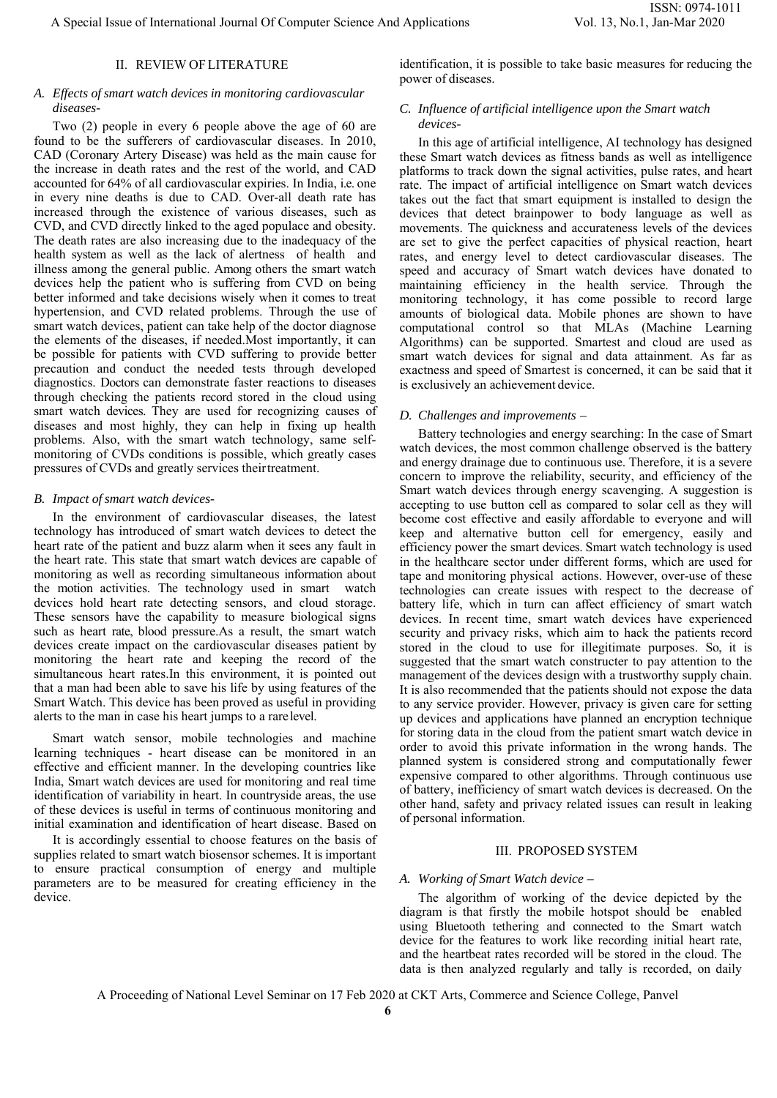# II. REVIEW OFLITERATURE

# *A. Effects of smart watch devices in monitoring cardiovascular diseases-*

Two (2) people in every 6 people above the age of 60 are found to be the sufferers of cardiovascular diseases. In 2010, CAD (Coronary Artery Disease) was held as the main cause for the increase in death rates and the rest of the world, and CAD accounted for 64% of all cardiovascular expiries. In India, i.e. one in every nine deaths is due to CAD. Over-all death rate has increased through the existence of various diseases, such as CVD, and CVD directly linked to the aged populace and obesity. The death rates are also increasing due to the inadequacy of the health system as well as the lack of alertness of health and illness among the general public. Among others the smart watch devices help the patient who is suffering from CVD on being better informed and take decisions wisely when it comes to treat hypertension, and CVD related problems. Through the use of smart watch devices, patient can take help of the doctor diagnose the elements of the diseases, if needed.Most importantly, it can be possible for patients with CVD suffering to provide better precaution and conduct the needed tests through developed diagnostics. Doctors can demonstrate faster reactions to diseases through checking the patients record stored in the cloud using smart watch devices. They are used for recognizing causes of diseases and most highly, they can help in fixing up health problems. Also, with the smart watch technology, same selfmonitoring of CVDs conditions is possible, which greatly cases pressures of CVDs and greatly services their treatment.

## *B. Impact of smart watch devices-*

In the environment of cardiovascular diseases, the latest technology has introduced of smart watch devices to detect the heart rate of the patient and buzz alarm when it sees any fault in the heart rate. This state that smart watch devices are capable of monitoring as well as recording simultaneous information about the motion activities. The technology used in smart watch devices hold heart rate detecting sensors, and cloud storage. These sensors have the capability to measure biological signs such as heart rate, blood pressure.As a result, the smart watch devices create impact on the cardiovascular diseases patient by monitoring the heart rate and keeping the record of the simultaneous heart rates.In this environment, it is pointed out that a man had been able to save his life by using features of the Smart Watch. This device has been proved as useful in providing alerts to the man in case his heart jumps to a rare level.

Smart watch sensor, mobile technologies and machine learning techniques - heart disease can be monitored in an effective and efficient manner. In the developing countries like India, Smart watch devices are used for monitoring and real time identification of variability in heart. In countryside areas, the use of these devices is useful in terms of continuous monitoring and initial examination and identification of heart disease. Based on

It is accordingly essential to choose features on the basis of supplies related to smart watch biosensor schemes. It is important to ensure practical consumption of energy and multiple parameters are to be measured for creating efficiency in the device.

identification, it is possible to take basic measures for reducing the power of diseases.

# *C. Influence of artificial intelligence upon the Smart watch devices-*

In this age of artificial intelligence, AI technology has designed these Smart watch devices as fitness bands as well as intelligence platforms to track down the signal activities, pulse rates, and heart rate. The impact of artificial intelligence on Smart watch devices takes out the fact that smart equipment is installed to design the devices that detect brainpower to body language as well as movements. The quickness and accurateness levels of the devices are set to give the perfect capacities of physical reaction, heart rates, and energy level to detect cardiovascular diseases. The speed and accuracy of Smart watch devices have donated to maintaining efficiency in the health service. Through the monitoring technology, it has come possible to record large amounts of biological data. Mobile phones are shown to have computational control so that MLAs (Machine Learning Algorithms) can be supported. Smartest and cloud are used as smart watch devices for signal and data attainment. As far as exactness and speed of Smartest is concerned, it can be said that it is exclusively an achievement device.

#### *D. Challenges and improvements –*

Battery technologies and energy searching: In the case of Smart watch devices, the most common challenge observed is the battery and energy drainage due to continuous use. Therefore, it is a severe concern to improve the reliability, security, and efficiency of the Smart watch devices through energy scavenging. A suggestion is accepting to use button cell as compared to solar cell as they will become cost effective and easily affordable to everyone and will keep and alternative button cell for emergency, easily and efficiency power the smart devices. Smart watch technology is used in the healthcare sector under different forms, which are used for tape and monitoring physical actions. However, over-use of these technologies can create issues with respect to the decrease of battery life, which in turn can affect efficiency of smart watch devices. In recent time, smart watch devices have experienced security and privacy risks, which aim to hack the patients record stored in the cloud to use for illegitimate purposes. So, it is suggested that the smart watch constructer to pay attention to the management of the devices design with a trustworthy supply chain. It is also recommended that the patients should not expose the data to any service provider. However, privacy is given care for setting up devices and applications have planned an encryption technique for storing data in the cloud from the patient smart watch device in order to avoid this private information in the wrong hands. The planned system is considered strong and computationally fewer expensive compared to other algorithms. Through continuous use of battery, inefficiency of smart watch devices is decreased. On the other hand, safety and privacy related issues can result in leaking of personal information.

## III. PROPOSED SYSTEM

## *A. Working of Smart Watch device –*

The algorithm of working of the device depicted by the diagram is that firstly the mobile hotspot should be enabled using Bluetooth tethering and connected to the Smart watch device for the features to work like recording initial heart rate, and the heartbeat rates recorded will be stored in the cloud. The data is then analyzed regularly and tally is recorded, on daily

A Proceeding of National Level Seminar on 17 Feb 2020 at CKT Arts, Commerce and Science College, Panvel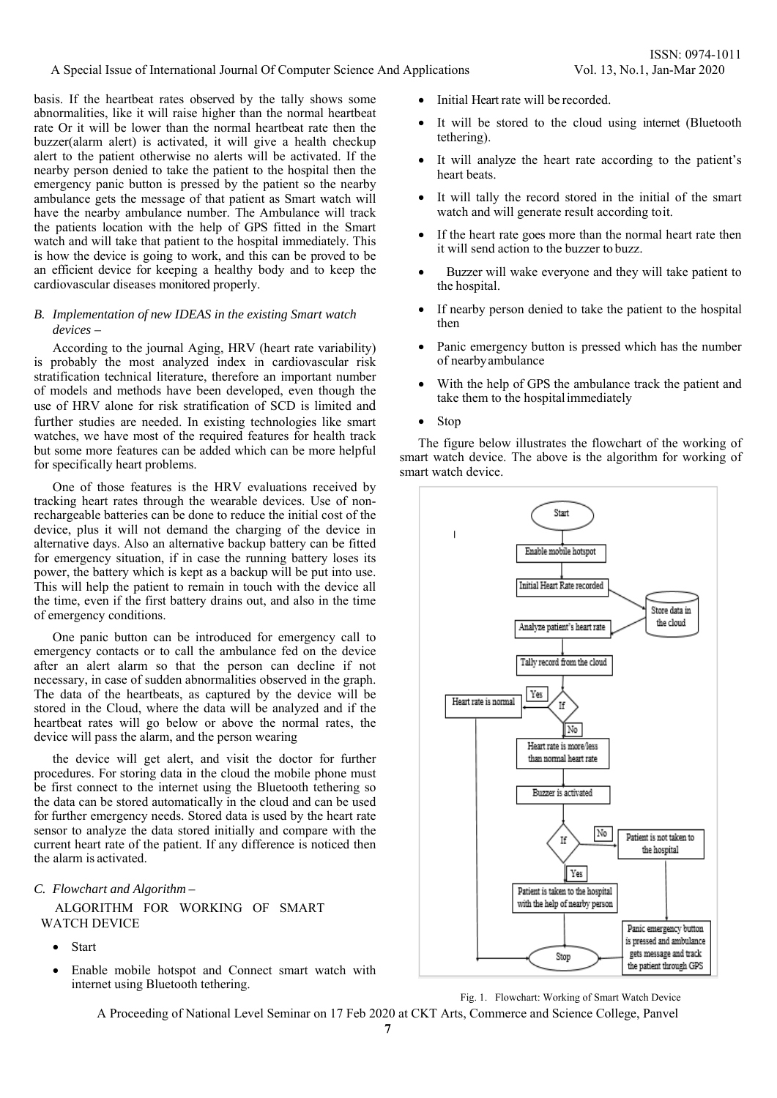basis. If the heartbeat rates observed by the tally shows some abnormalities, like it will raise higher than the normal heartbeat rate Or it will be lower than the normal heartbeat rate then the buzzer(alarm alert) is activated, it will give a health checkup alert to the patient otherwise no alerts will be activated. If the nearby person denied to take the patient to the hospital then the emergency panic button is pressed by the patient so the nearby ambulance gets the message of that patient as Smart watch will have the nearby ambulance number. The Ambulance will track the patients location with the help of GPS fitted in the Smart watch and will take that patient to the hospital immediately. This is how the device is going to work, and this can be proved to be an efficient device for keeping a healthy body and to keep the cardiovascular diseases monitored properly.

# *B. Implementation of new IDEAS in the existing Smart watch devices –*

According to the journal Aging, HRV (heart rate variability) is probably the most analyzed index in cardiovascular risk stratification technical literature, therefore an important number of models and methods have been developed, even though the use of HRV alone for risk stratification of SCD is limited and further studies are needed. In existing technologies like smart watches, we have most of the required features for health track but some more features can be added which can be more helpful for specifically heart problems.

One of those features is the HRV evaluations received by tracking heart rates through the wearable devices. Use of nonrechargeable batteries can be done to reduce the initial cost of the device, plus it will not demand the charging of the device in alternative days. Also an alternative backup battery can be fitted for emergency situation, if in case the running battery loses its power, the battery which is kept as a backup will be put into use. This will help the patient to remain in touch with the device all the time, even if the first battery drains out, and also in the time of emergency conditions.

One panic button can be introduced for emergency call to emergency contacts or to call the ambulance fed on the device after an alert alarm so that the person can decline if not necessary, in case of sudden abnormalities observed in the graph. The data of the heartbeats, as captured by the device will be stored in the Cloud, where the data will be analyzed and if the heartbeat rates will go below or above the normal rates, the device will pass the alarm, and the person wearing

the device will get alert, and visit the doctor for further procedures. For storing data in the cloud the mobile phone must be first connect to the internet using the Bluetooth tethering so the data can be stored automatically in the cloud and can be used for further emergency needs. Stored data is used by the heart rate sensor to analyze the data stored initially and compare with the current heart rate of the patient. If any difference is noticed then the alarm is activated.

# *C. Flowchart and Algorithm –*

ALGORITHM FOR WORKING OF SMART WATCH DEVICE

- Start
- Enable mobile hotspot and Connect smart watch with internet using Bluetooth tethering.
- Initial Heart rate will be recorded.
- It will be stored to the cloud using internet (Bluetooth tethering).
- It will analyze the heart rate according to the patient's heart beats.
- It will tally the record stored in the initial of the smart watch and will generate result according to it.
- If the heart rate goes more than the normal heart rate then it will send action to the buzzer to buzz.
- Buzzer will wake everyone and they will take patient to the hospital.
- If nearby person denied to take the patient to the hospital then
- Panic emergency button is pressed which has the number of nearby ambulance
- With the help of GPS the ambulance track the patient and take them to the hospital immediately
- Stop

The figure below illustrates the flowchart of the working of smart watch device. The above is the algorithm for working of smart watch device.



Fig. 1. Flowchart: Working of Smart Watch Device

A Proceeding of National Level Seminar on 17 Feb 2020 at CKT Arts, Commerce and Science College, Panvel